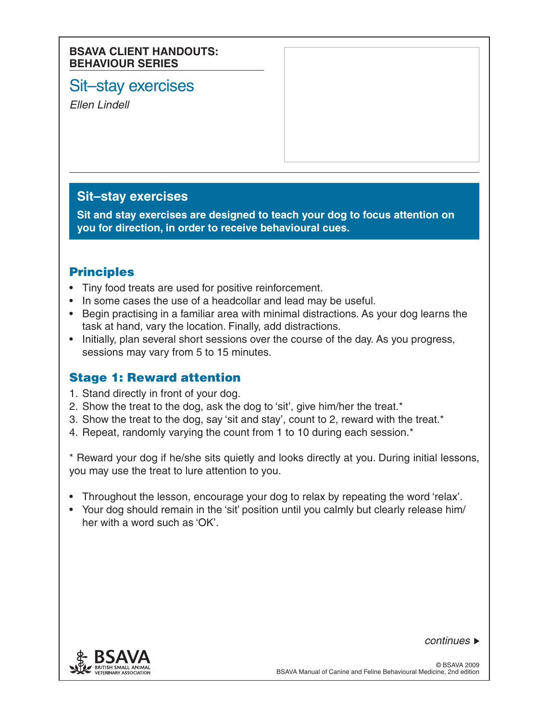#### **BSAVA CLIENT HANDOUTS: BEHAVIOUR SERIES**

# Sit–stay exercises

*Ellen Lindell*

## **Sit–stay exercises**

**Sit and stay exercises are designed to teach your dog to focus attention on you for direction, in order to receive behavioural cues.**

## Principles

- Tiny food treats are used for positive reinforcement.
- In some cases the use of a headcollar and lead may be useful.
- Begin practising in a familiar area with minimal distractions. As your dog learns the task at hand, vary the location. Finally, add distractions.
- Initially, plan several short sessions over the course of the day. As you progress, sessions may vary from 5 to 15 minutes.

## Stage 1: Reward attention

- 1. Stand directly in front of your dog.
- 2. Show the treat to the dog, ask the dog to 'sit', give him/her the treat.\*
- 3. Show the treat to the dog, say 'sit and stay', count to 2, reward with the treat. $*$
- 4. Repeat, randomly varying the count from 1 to 10 during each session.<sup>\*</sup>

\* Reward your dog if he/she sits quietly and looks directly at you. During initial lessons, you may use the treat to lure attention to you.

- Throughout the lesson, encourage your dog to relax by repeating the word 'relax'.
- Your dog should remain in the 'sit' position until you calmly but clearly release him/ her with a word such as 'OK'.



*continues*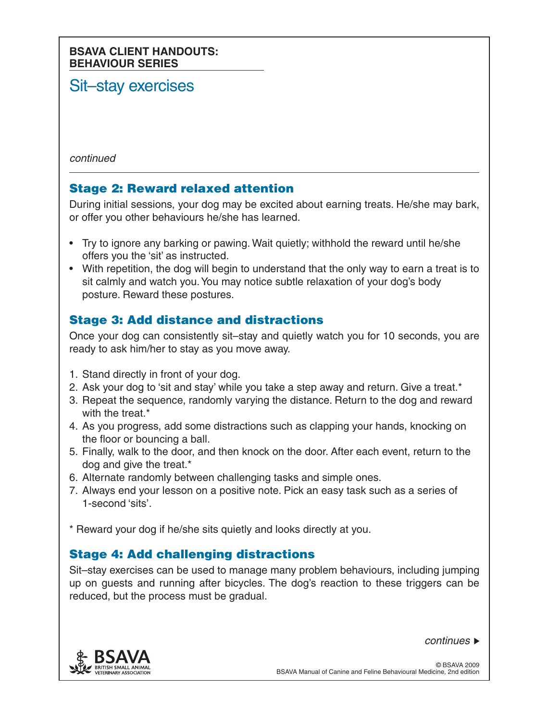### **BSAVA CLIENT HANDOUTS: BEHAVIOUR SERIES**

# Sit–stay exercises

*continued*

## Stage 2: Reward relaxed attention

During initial sessions, your dog may be excited about earning treats. He/she may bark, or offer you other behaviours he/she has learned.

- Try to ignore any barking or pawing. Wait quietly; withhold the reward until he/she offers you the 'sit' as instructed.
- With repetition, the dog will begin to understand that the only way to earn a treat is to sit calmly and watch you.You may notice subtle relaxation of your dog's body posture. Reward these postures.

## Stage 3: Add distance and distractions

Once your dog can consistently sit–stay and quietly watch you for 10 seconds, you are ready to ask him/her to stay as you move away.

- 1. Stand directly in front of your dog.
- 2. Ask your dog to 'sit and stay' while you take a step away and return. Give a treat.\*
- 3. Repeat the sequence, randomly varying the distance. Return to the dog and reward with the treat.\*
- 4. As you progress, add some distractions such as clapping your hands, knocking on the floor or bouncing a ball.
- 5. Finally, walk to the door, and then knock on the door. After each event, return to the dog and give the treat.\*
- 6. Alternate randomly between challenging tasks and simple ones.
- 7. Always end your lesson on a positive note. Pick an easy task such as a series of 1-second 'sits'.

\* Reward your dog if he/she sits quietly and looks directly at you.

## Stage 4: Add challenging distractions

Sit–stay exercises can be used to manage many problem behaviours, including jumping up on guests and running after bicycles. The dog's reaction to these triggers can be reduced, but the process must be gradual.

*continues*